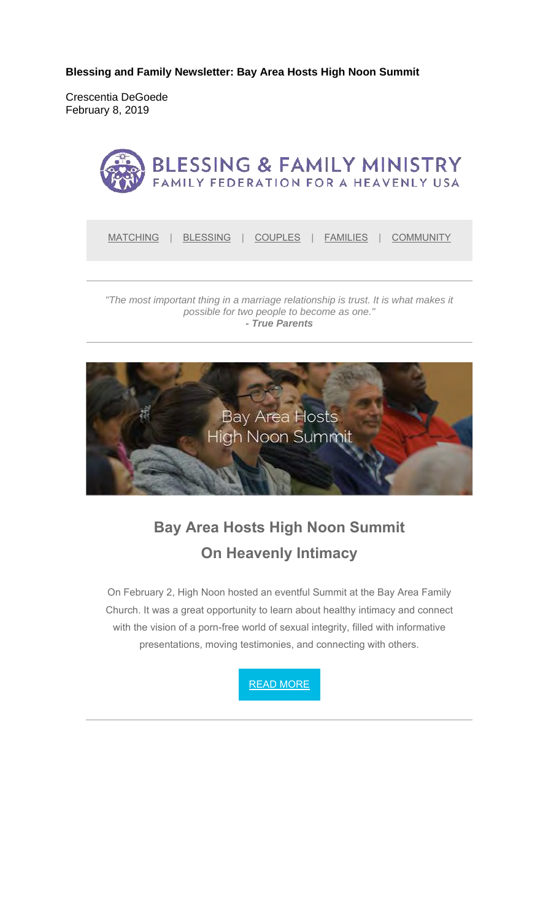**Blessing and Family Newsletter: Bay Area Hosts High Noon Summit** 

Crescentia DeGoede February 8, 2019



*"The most important thing in a marriage relationship is trust. It is what makes it possible for two people to become as one." - True Parents*



**Bay Area Hosts High Noon Summit On Heavenly Intimacy**

On February 2, High Noon hosted an eventful Summit at the Bay Area Family Church. It was a great opportunity to learn about healthy intimacy and connect with the vision of a porn-free world of sexual integrity, filled with informative presentations, moving testimonies, and connecting with others.

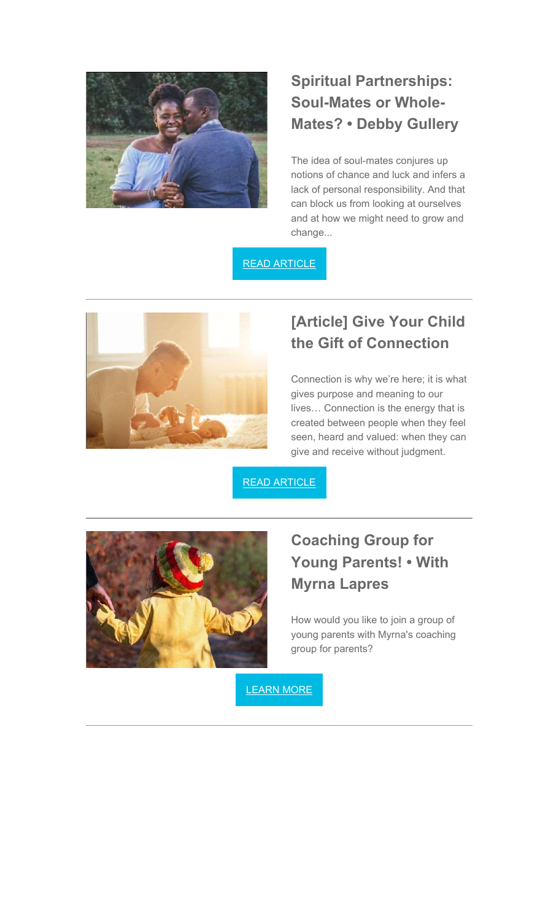

## **Spiritual Partnerships: Soul-Mates or Whole-Mates? • Debby Gullery**

The idea of soul-mates conjures up notions of chance and luck and infers a lack of personal responsibility. And that can block us from looking at ourselves and at how we might need to grow and change...

READ ARTICLE



## **[Article] Give Your Child the Gift of Connection**

Connection is why we're here; it is what gives purpose and meaning to our lives… Connection is the energy that is created between people when they feel seen, heard and valued: when they can give and receive without judgment.

READ ARTICLE



## **Coaching Group for Young Parents! • With Myrna Lapres**

How would you like to join a group of young parents with Myrna's coaching group for parents?

LEARN MORE